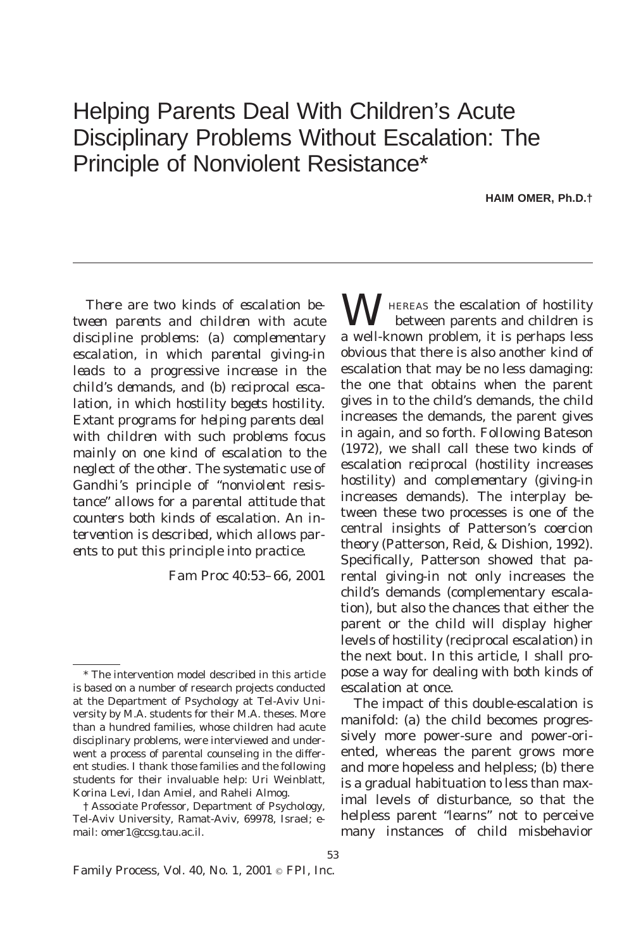# Helping Parents Deal With Children's Acute Disciplinary Problems Without Escalation: The Principle of Nonviolent Resistance\*

**HAIM OMER, Ph.D.†**

*There are two kinds of escalation between parents and children with acute discipline problems: (a) complementary escalation, in which parental giving-in leads to a progressive increase in the child's demands, and (b) reciprocal escalation, in which hostility begets hostility. Extant programs for helping parents deal with children with such problems focus mainly on one kind of escalation to the neglect of the other. The systematic use of Gandhi's principle of "nonviolent resistance" allows for a parental attitude that counters both kinds of escalation. An intervention is described, which allows parents to put this principle into practice.*

*Fam Proc 40:53–66, 2001*

**M** HEREAS the escalation of hostility between parents and children is a well-known problem, it is perhaps less obvious that there is also another kind of escalation that may be no less damaging: the one that obtains when the parent gives in to the child's demands, the child increases the demands, the parent gives in again, and so forth. Following Bateson (1972), we shall call these two kinds of escalation *reciprocal* (hostility increases hostility) and *complementary* (giving-in increases demands). The interplay between these two processes is one of the central insights of Patterson's *coercion theory* (Patterson, Reid, & Dishion, 1992). Specifically, Patterson showed that parental giving-in not only increases the child's demands (complementary escalation), but also the chances that either the parent or the child will display higher levels of hostility (reciprocal escalation) in the next bout. In this article, I shall propose a way for dealing with both kinds of escalation at once.

The impact of this double-escalation is manifold: (a) the child becomes progressively more power-sure and power-oriented, whereas the parent grows more and more hopeless and helpless; (b) there is a gradual habituation to less than maximal levels of disturbance, so that the helpless parent "learns" not to perceive many instances of child misbehavior

Family Process, Vol. 40, No. 1, 2001 © FPI, Inc.

<sup>\*</sup> The intervention model described in this article is based on a number of research projects conducted at the Department of Psychology at Tel-Aviv University by M.A. students for their M.A. theses. More than a hundred families, whose children had acute disciplinary problems, were interviewed and underwent a process of parental counseling in the different studies. I thank those families and the following students for their invaluable help: Uri Weinblatt, Korina Levi, Idan Amiel, and Raheli Almog.

<sup>†</sup> Associate Professor, Department of Psychology, Tel-Aviv University, Ramat-Aviv, 69978, Israel; email: omer1@ccsg.tau.ac.il.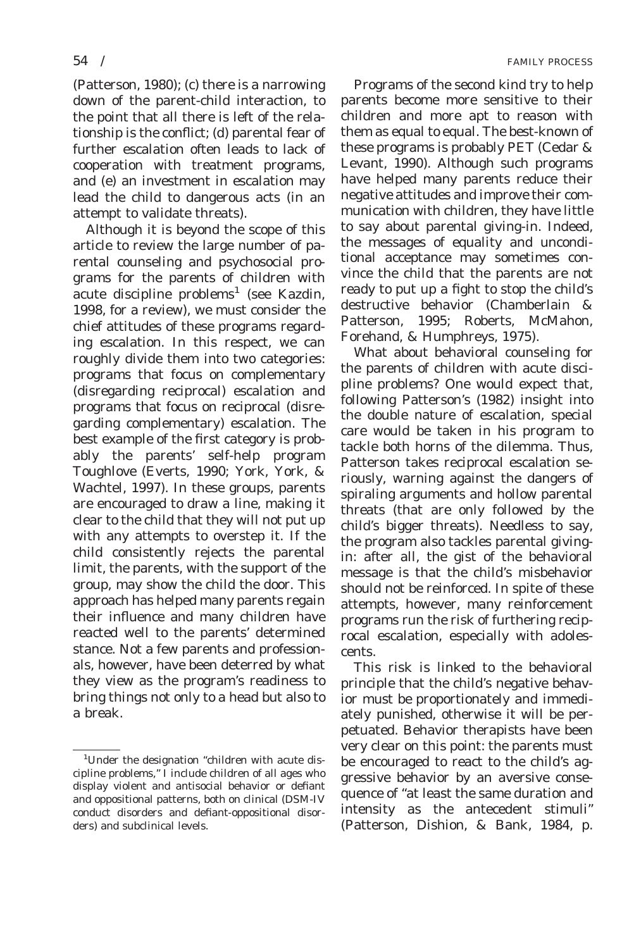(Patterson, 1980); (c) there is a narrowing down of the parent-child interaction, to the point that all there is left of the relationship is the conflict; (d) parental fear of further escalation often leads to lack of cooperation with treatment programs, and (e) an investment in escalation may lead the child to dangerous acts (in an attempt to validate threats).

Although it is beyond the scope of this article to review the large number of parental counseling and psychosocial programs for the parents of children with acute discipline problems<sup>1</sup> (see Kazdin, 1998, for a review), we must consider the chief attitudes of these programs regarding escalation. In this respect, we can roughly divide them into two categories: programs that focus on complementary (disregarding reciprocal) escalation and programs that focus on reciprocal (disregarding complementary) escalation. The best example of the first category is probably the parents' self-help program *Toughlove* (Everts, 1990; York, York, & Wachtel, 1997). In these groups, parents are encouraged to draw a line, making it clear to the child that they will not put up with any attempts to overstep it. If the child consistently rejects the parental limit, the parents, with the support of the group, may show the child the door. This approach has helped many parents regain their influence and many children have reacted well to the parents' determined stance. Not a few parents and professionals, however, have been deterred by what they view as the program's readiness to bring things not only to a head but also to a break.

Programs of the second kind try to help parents become more sensitive to their children and more apt to reason with them as equal to equal. The best-known of these programs is probably PET (Cedar & Levant, 1990). Although such programs have helped many parents reduce their negative attitudes and improve their communication with children, they have little to say about parental giving-in. Indeed, the messages of equality and unconditional acceptance may sometimes convince the child that the parents are not ready to put up a fight to stop the child's destructive behavior (Chamberlain & Patterson, 1995; Roberts, McMahon, Forehand, & Humphreys, 1975).

What about behavioral counseling for the parents of children with acute discipline problems? One would expect that, following Patterson's (1982) insight into the double nature of escalation, special care would be taken in his program to tackle both horns of the dilemma. Thus, Patterson takes reciprocal escalation seriously, warning against the dangers of spiraling arguments and hollow parental threats (that are only followed by the child's bigger threats). Needless to say, the program also tackles parental givingin: after all, the gist of the behavioral message is that the child's misbehavior should not be reinforced. In spite of these attempts, however, many reinforcement programs run the risk of furthering reciprocal escalation, especially with adolescents.

This risk is linked to the behavioral principle that the child's negative behavior *must be* proportionately and immediately punished, otherwise it will be perpetuated. Behavior therapists have been very clear on this point: the parents must be encouraged to react to the child's aggressive behavior by an aversive consequence of "at least the same duration and intensity as the antecedent stimuli" (Patterson, Dishion, & Bank, 1984, p.

<sup>&</sup>lt;sup>1</sup>Under the designation "children with acute discipline problems," I include children of all ages who display violent and antisocial behavior or defiant and oppositional patterns, both on clinical (DSM-IV conduct disorders and defiant-oppositional disorders) and subclinical levels.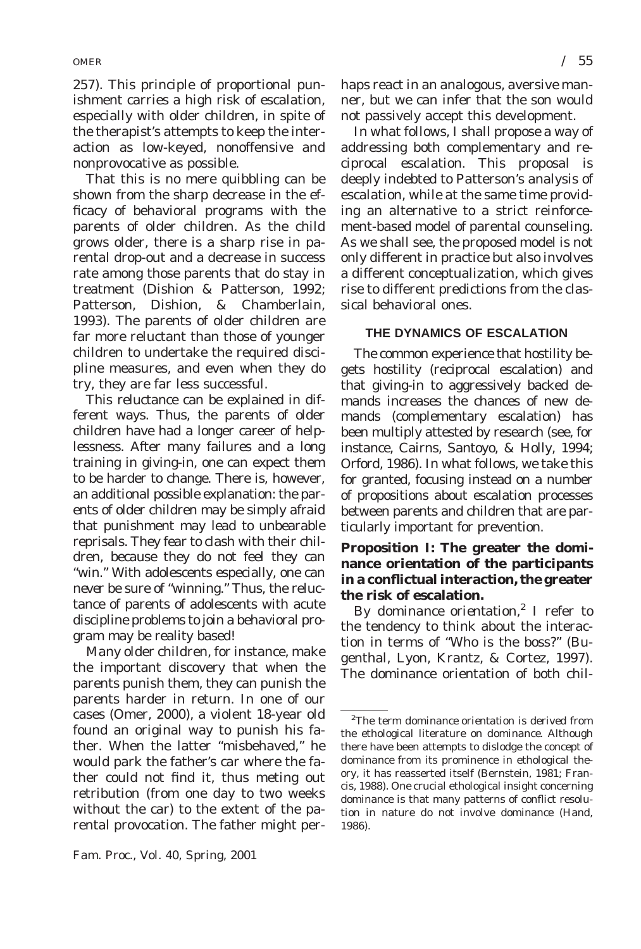257). This principle of proportional punishment carries a high risk of escalation, especially with older children, in spite of the therapist's attempts to keep the interaction as low-keyed, nonoffensive and nonprovocative as possible.

That this is no mere quibbling can be shown from the sharp decrease in the efficacy of behavioral programs with the parents of older children. As the child grows older, there is a sharp rise in parental drop-out and a decrease in success rate among those parents that do stay in treatment (Dishion & Patterson, 1992; Patterson, Dishion, & Chamberlain, 1993). The parents of older children are far more reluctant than those of younger children to undertake the required discipline measures, and even when they do try, they are far less successful.

This reluctance can be explained in different ways. Thus, the parents of older children have had a longer career of helplessness. After many failures and a long training in giving-in, one can expect them to be harder to change. There is, however, an additional possible explanation: the parents of older children may be simply afraid that punishment may lead to unbearable reprisals. They fear to clash with their children, because they do not feel they can "win." With adolescents especially, one can *never* be sure of "winning." Thus, the reluctance of parents of adolescents with acute discipline problems to join a behavioral program may be reality based!

Many older children, for instance, make the important discovery that when the parents punish them, they can punish the parents harder in return. In one of our cases (Omer, 2000), a violent 18-year old found an original way to punish his father. When the latter "misbehaved," he would park the father's car where the father could not find it, thus meting out retribution (from one day to two weeks without the car) to the extent of the parental provocation. The father might perhaps react in an analogous, aversive manner, but we can infer that the son would not passively accept this development.

In what follows, I shall propose a way of addressing both complementary and reciprocal escalation. This proposal is deeply indebted to Patterson's analysis of escalation, while at the same time providing an alternative to a strict reinforcement-based model of parental counseling. As we shall see, the proposed model is not only different in practice but also involves a different conceptualization, which gives rise to different predictions from the classical behavioral ones.

## **THE DYNAMICS OF ESCALATION**

The common experience that hostility begets hostility (reciprocal escalation) and that giving-in to aggressively backed demands increases the chances of new demands (complementary escalation) has been multiply attested by research (see, for instance, Cairns, Santoyo, & Holly, 1994; Orford, 1986). In what follows, we take this for granted, focusing instead on a number of propositions about escalation processes between parents and children that are particularly important for prevention.

## **Proposition I: The greater the dominance orientation of the participants in a conflictual interaction, the greater the risk of escalation.**

By *dominance orientation,*<sup>2</sup> I refer to the tendency to think about the interaction in terms of "Who is the boss?" (Bugenthal, Lyon, Krantz, & Cortez, 1997). The dominance orientation of both chil-

<sup>2</sup> The term *dominance orientation* is derived from the ethological literature on *dominance.* Although there have been attempts to dislodge the concept of *dominance* from its prominence in ethological theory, it has reasserted itself (Bernstein, 1981; Francis, 1988). One crucial ethological insight concerning dominance is that many patterns of conflict resolution in nature *do not* involve dominance (Hand, 1986).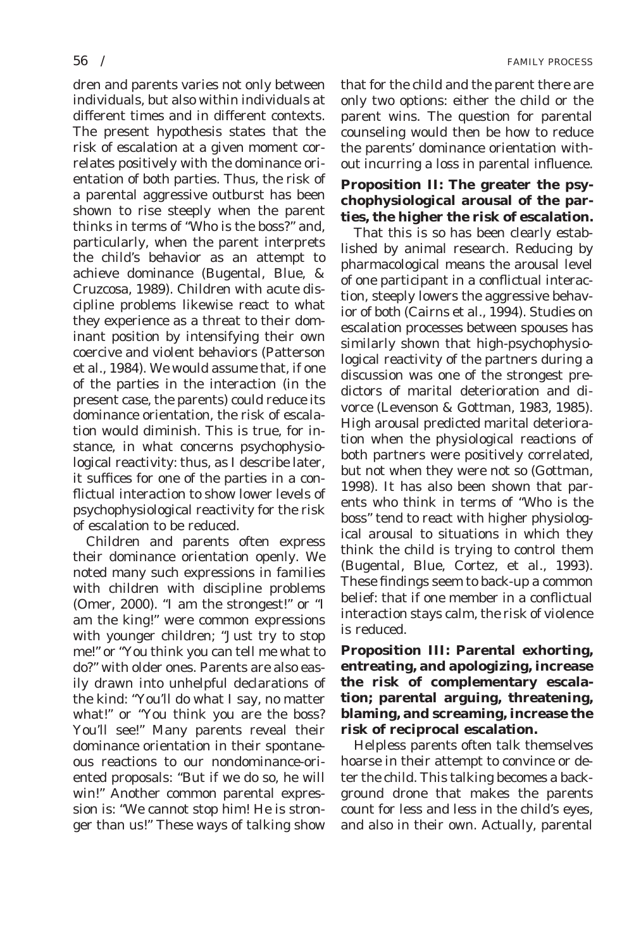dren and parents varies not only between individuals, but also within individuals at different times and in different contexts. The present hypothesis states that the risk of escalation at a given moment correlates positively with the dominance orientation of both parties. Thus, the risk of a parental aggressive outburst has been shown to rise steeply when the parent thinks in terms of "Who is the boss?" and, particularly, when the parent interprets the child's behavior as an attempt to achieve dominance (Bugental, Blue, & Cruzcosa, 1989). Children with acute discipline problems likewise react to what they experience as a threat to their dominant position by intensifying their own coercive and violent behaviors (Patterson et al., 1984). We would assume that, if one of the parties in the interaction (in the present case, the parents) could reduce its dominance orientation, the risk of escalation would diminish. This is true, for instance, in what concerns psychophysiological reactivity: thus, as I describe later, it suffices for one of the parties in a conflictual interaction to show lower levels of psychophysiological reactivity for the risk of escalation to be reduced.

Children and parents often express their dominance orientation openly. We noted many such expressions in families with children with discipline problems (Omer, 2000). "I am the strongest!" or "I am the king!" were common expressions with younger children; "Just try to stop me!" or "You think you can tell me what to do?" with older ones. Parents are also easily drawn into unhelpful declarations of the kind: "You'll do what I say, no matter what!" or "You think you are the boss? You'll see!" Many parents reveal their dominance orientation in their spontaneous reactions to our nondominance-oriented proposals: "But if we do so, he will win!" Another common parental expression is: "We cannot stop him! He is stronger than us!" These ways of talking show

that for the child and the parent there are only two options: either the child or the parent wins. The question for parental counseling would then be how to reduce the parents' dominance orientation without incurring a loss in parental influence.

# **Proposition II: The greater the psychophysiological arousal of the parties, the higher the risk of escalation.**

That this is so has been clearly established by animal research. Reducing by pharmacological means the arousal level of one participant in a conflictual interaction, steeply lowers the aggressive behavior of *both* (Cairns et al., 1994). Studies on escalation processes between spouses has similarly shown that high-psychophysiological reactivity of the partners during a discussion was one of the strongest predictors of marital deterioration and divorce (Levenson & Gottman, 1983, 1985). High arousal predicted marital deterioration when the physiological reactions of both partners were positively correlated, but not when they were not so (Gottman, 1998). It has also been shown that parents who think in terms of "Who is the boss" tend to react with higher physiological arousal to situations in which they think the child is trying to control them (Bugental, Blue, Cortez, et al., 1993). These findings seem to back-up a common belief: that if one member in a conflictual interaction stays calm, the risk of violence is reduced.

# **Proposition III: Parental exhorting, entreating, and apologizing, increase the risk of complementary escalation; parental arguing, threatening, blaming, and screaming, increase the risk of reciprocal escalation.**

Helpless parents often talk themselves hoarse in their attempt to convince or deter the child. This talking becomes a background drone that makes the parents count for less and less in the child's eyes, and also in their own. Actually, parental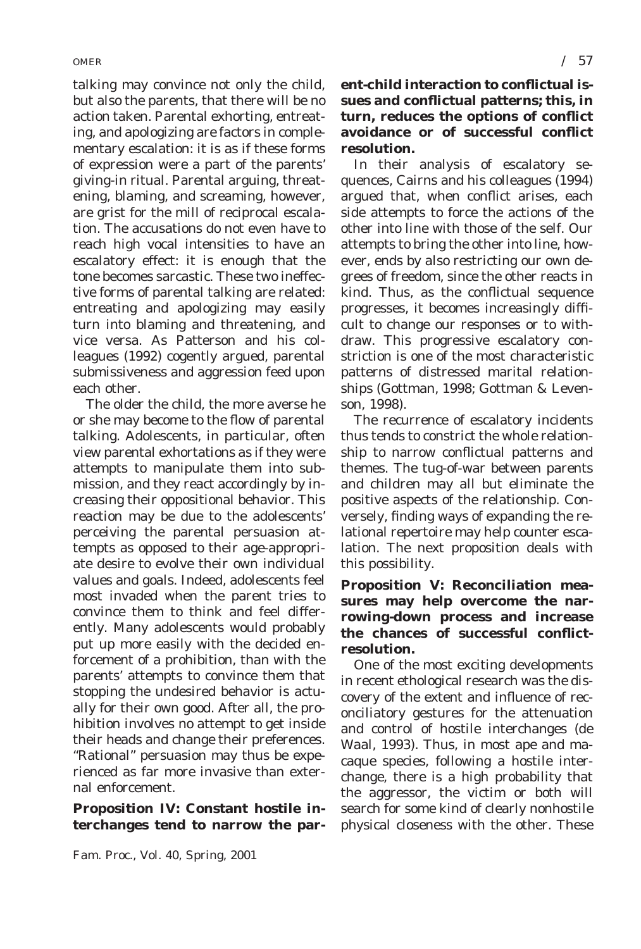talking may convince not only the child, but also the parents, that there will be no action taken. Parental exhorting, entreating, and apologizing are factors in complementary escalation: it is as if these forms of expression were a part of the parents' giving-in ritual. Parental arguing, threatening, blaming, and screaming, however, are grist for the mill of reciprocal escalation. The accusations do not even have to reach high vocal intensities to have an escalatory effect: it is enough that the tone becomes sarcastic. These two ineffective forms of parental talking are related: entreating and apologizing may easily turn into blaming and threatening, and vice versa. As Patterson and his colleagues (1992) cogently argued, parental submissiveness and aggression feed upon each other.

The older the child, the more averse he or she may become to the flow of parental talking. Adolescents, in particular, often view parental exhortations as if they were attempts to manipulate them into submission, and they react accordingly by increasing their oppositional behavior. This reaction may be due to the adolescents' perceiving the parental persuasion attempts as opposed to their age-appropriate desire to evolve their own individual values and goals. Indeed, adolescents feel most invaded when the parent tries to convince them to think and feel differently. Many adolescents would probably put up more easily with the decided enforcement of a prohibition, than with the parents' attempts to convince them that stopping the undesired behavior is actually for their own good. After all, the prohibition involves no attempt to get inside their heads and change their preferences. "Rational" persuasion may thus be experienced as far more invasive than external enforcement.

# **Proposition IV: Constant hostile interchanges tend to narrow the par-**

**ent-child interaction to conflictual issues and conflictual patterns; this, in turn, reduces the options of conflict avoidance or of successful conflict resolution.**

In their analysis of escalatory sequences, Cairns and his colleagues (1994) argued that, when conflict arises, each side attempts to force the actions of the other into line with those of the self. Our attempts to bring the other into line, however, ends by also restricting our own degrees of freedom, since the other reacts in kind. Thus, as the conflictual sequence progresses, it becomes increasingly difficult to change our responses or to withdraw. This progressive escalatory constriction is one of the most characteristic patterns of distressed marital relationships (Gottman, 1998; Gottman & Levenson, 1998).

The recurrence of escalatory incidents thus tends to constrict the whole relationship to narrow conflictual patterns and themes. The tug-of-war between parents and children may all but eliminate the positive aspects of the relationship. Conversely, finding ways of expanding the relational repertoire may help counter escalation. The next proposition deals with this possibility.

# **Proposition V: Reconciliation measures may help overcome the narrowing-down process and increase the chances of successful conflictresolution.**

One of the most exciting developments in recent ethological research was the discovery of the extent and influence of reconciliatory gestures for the attenuation and control of hostile interchanges (de Waal, 1993). Thus, in most ape and macaque species, following a hostile interchange, there is a high probability that the aggressor, the victim or both will search for some kind of clearly nonhostile physical closeness with the other. These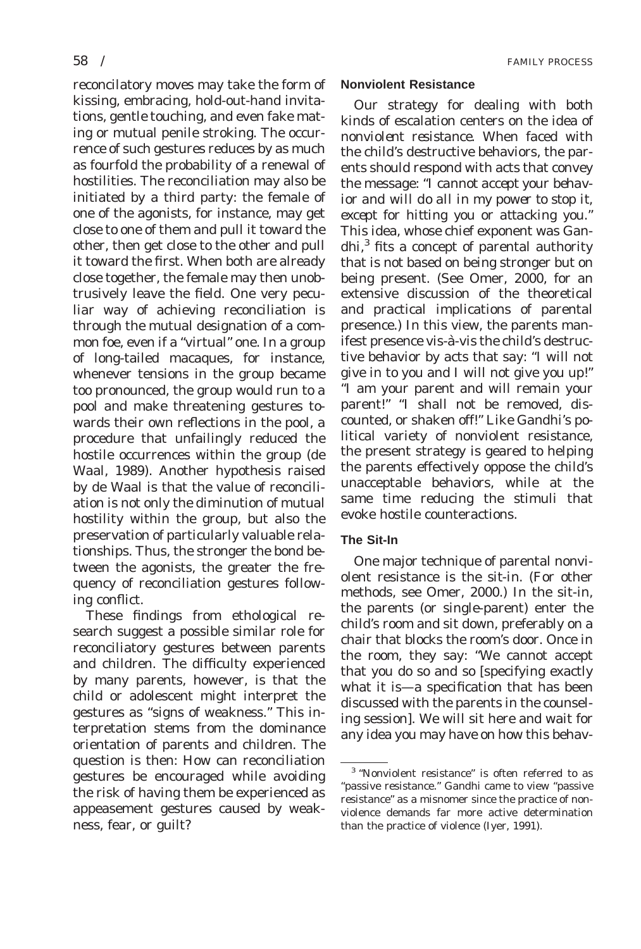reconcilatory moves may take the form of kissing, embracing, hold-out-hand invitations, gentle touching, and even fake mating or mutual penile stroking. The occurrence of such gestures reduces by as much as fourfold the probability of a renewal of hostilities. The reconciliation may also be initiated by a third party: the female of one of the agonists, for instance, may get close to one of them and pull it toward the other, then get close to the other and pull it toward the first. When both are already close together, the female may then unobtrusively leave the field. One very peculiar way of achieving reconciliation is through the mutual designation of a common foe, even if a "virtual" one. In a group of long-tailed macaques, for instance, whenever tensions in the group became too pronounced, the group would run to a pool and make threatening gestures towards their own reflections in the pool, a procedure that unfailingly reduced the hostile occurrences within the group (de Waal, 1989). Another hypothesis raised by de Waal is that the value of reconciliation is not only the diminution of mutual hostility within the group, but also the preservation of particularly valuable relationships. Thus, the stronger the bond between the agonists, the greater the frequency of reconciliation gestures following conflict.

These findings from ethological research suggest a possible similar role for reconciliatory gestures between parents and children. The difficulty experienced by many parents, however, is that the child or adolescent might interpret the gestures as "signs of weakness." This interpretation stems from the dominance orientation of parents and children. The question is then: How can reconciliation gestures be encouraged while avoiding the risk of having them be experienced as appeasement gestures caused by weakness, fear, or guilt?

#### **Nonviolent Resistance**

Our strategy for dealing with both kinds of escalation centers on the idea of *nonviolent resistance.* When faced with the child's destructive behaviors, the parents should respond with acts that convey the message: "*I cannot accept your behavior and will do all in my power to stop it, except for hitting you or attacking you.*" This idea, whose chief exponent was Gan- $\text{dhi}^3$  fits a concept of parental authority that is not based on being stronger but on being present. (See Omer, 2000, for an extensive discussion of the theoretical and practical implications of parental presence.) In this view, the parents manifest presence vis-à-vis the child's destructive behavior by acts that say: "I will not give in to you and I will not give you up!" "I am your parent and will remain your parent!" "I shall not be removed, discounted, or shaken off!" Like Gandhi's political variety of nonviolent resistance, the present strategy is geared to helping the parents effectively oppose the child's unacceptable behaviors, while at the same time reducing the stimuli that evoke hostile counteractions.

#### **The Sit-In**

One major technique of parental nonviolent resistance is the *sit-in.* (For other methods, see Omer, 2000.) In the sit-in, the parents (or single-parent) enter the child's room and sit down, preferably on a chair that blocks the room's door. Once in the room, they say: "We cannot accept that you do so and so [specifying exactly what it is—a specification that has been discussed with the parents in the counseling session]. We will sit here and wait for any idea you may have on how this behav-

<sup>3</sup> "Nonviolent resistance" is often referred to as "passive resistance." Gandhi came to view "passive resistance" as a misnomer since the practice of nonviolence demands far more active determination than the practice of violence (Iyer, 1991).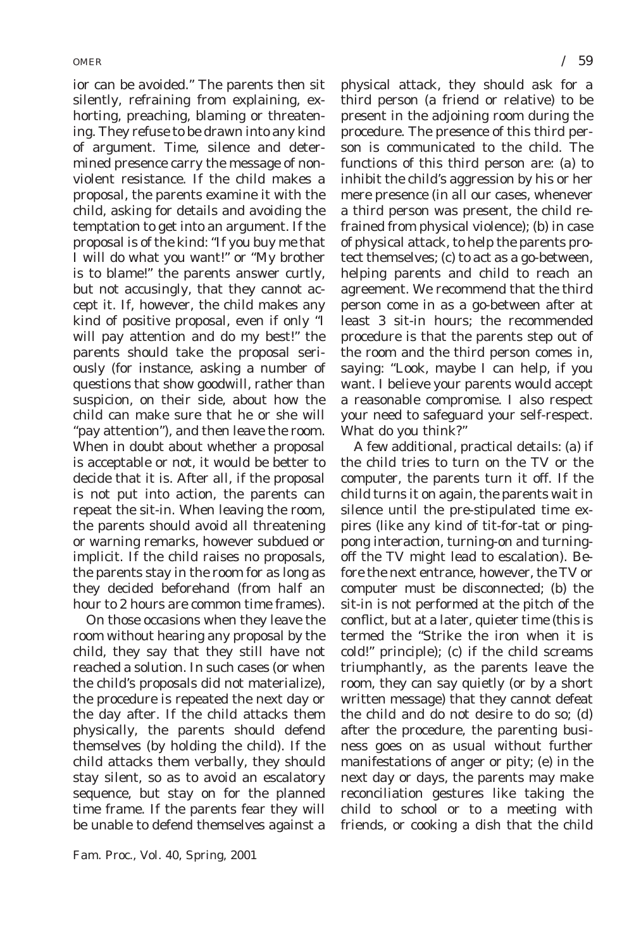ior can be avoided." The parents then sit silently, refraining from explaining, exhorting, preaching, blaming or threatening. They refuse to be drawn into any kind of argument. Time, silence and determined presence carry the message of nonviolent resistance. If the child makes a proposal, the parents examine it with the child, asking for details and avoiding the temptation to get into an argument. If the proposal is of the kind: "If you buy me that I will do what you want!" or "My brother is to blame!" the parents answer curtly, but not accusingly, that they cannot accept it. If, however, the child makes any kind of positive proposal, even if only "I will pay attention and do my best!" the parents should take the proposal seriously (for instance, asking a number of questions that show goodwill, rather than suspicion, on their side, about how the child can make sure that he or she will "pay attention"), and then leave the room. When in doubt about whether a proposal is acceptable or not, it would be better to decide that it is. After all, if the proposal is not put into action, the parents can repeat the sit-in. When leaving the room, the parents should avoid all threatening or warning remarks, however subdued or implicit. If the child raises no proposals, the parents stay in the room for as long as they decided beforehand (from half an hour to 2 hours are common time frames).

On those occasions when they leave the room without hearing any proposal by the child, they say that they still have not reached a solution. In such cases (or when the child's proposals did not materialize), the procedure is repeated the next day or the day after. If the child attacks them physically, the parents should defend themselves (by holding the child). If the child attacks them verbally, they should stay silent, so as to avoid an escalatory sequence, but stay on for the planned time frame. If the parents fear they will be unable to defend themselves against a

*Fam. Proc., Vol. 40, Spring, 2001*

physical attack, they should ask for a third person (a friend or relative) to be present in the adjoining room during the procedure. The presence of this third person is communicated to the child. The functions of this third person are: (a) to inhibit the child's aggression by his or her mere presence (in all our cases, whenever a third person was present, the child refrained from physical violence); (b) in case of physical attack, to help the parents protect themselves; (c) to act as a go-between, helping parents and child to reach an agreement. We recommend that the third person come in as a go-between after at least 3 sit-in hours; the recommended procedure is that the parents step out of the room and the third person comes in, saying: "Look, maybe I can help, if you want. I believe your parents would accept a reasonable compromise. I also respect your need to safeguard your self-respect. What do you think?"

A few additional, practical details: (a) if the child tries to turn on the TV or the computer, the parents turn it off. If the child turns it on again, the parents wait in silence until the pre-stipulated time expires (like any kind of tit-for-tat or pingpong interaction, turning-on and turningoff the TV might lead to escalation). Before the next entrance, however, the TV or computer must be disconnected; (b) the sit-in is not performed at the pitch of the conflict, but at a later, quieter time (this is termed the "Strike the iron when it is cold!" principle); (c) if the child screams triumphantly, as the parents leave the room, they can say quietly (or by a short written message) that they cannot defeat the child and do not desire to do so; (d) after the procedure, the parenting business goes on as usual without further manifestations of anger or pity; (e) in the next day or days, the parents may make reconciliation gestures like taking the child to school or to a meeting with friends, or cooking a dish that the child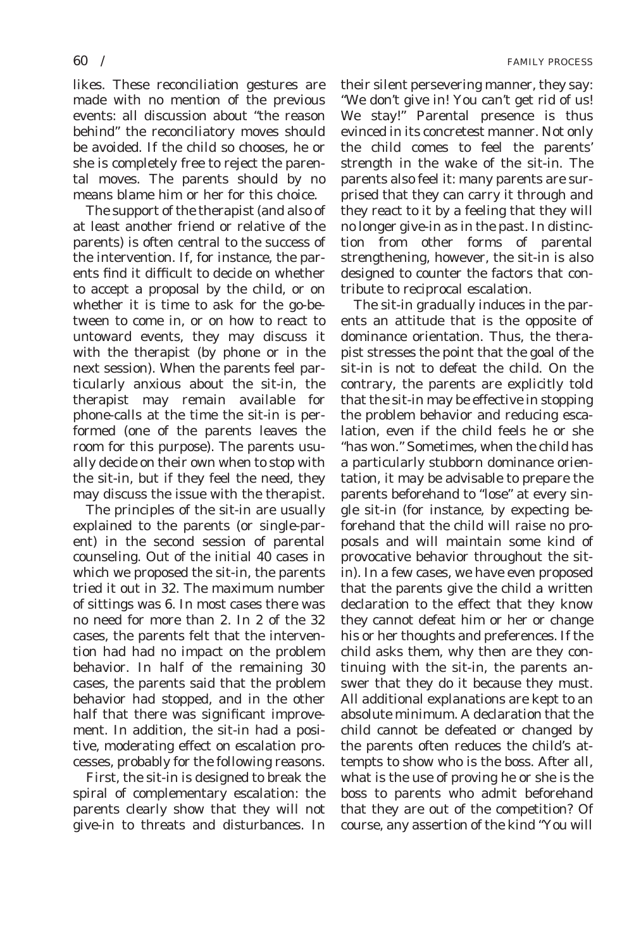likes. These reconciliation gestures are made with no mention of the previous events: all discussion about "the reason behind" the reconciliatory moves should be avoided. If the child so chooses, he or she is completely free to reject the parental moves. The parents should by no means blame him or her for this choice.

The support of the therapist (and also of at least another friend or relative of the parents) is often central to the success of the intervention. If, for instance, the parents find it difficult to decide on whether to accept a proposal by the child, or on whether it is time to ask for the go-between to come in, or on how to react to untoward events, they may discuss it with the therapist (by phone or in the next session). When the parents feel particularly anxious about the sit-in, the therapist may remain available for phone-calls at the time the sit-in is performed (one of the parents leaves the room for this purpose). The parents usually decide on their own when to stop with the sit-in, but if they feel the need, they may discuss the issue with the therapist.

The principles of the sit-in are usually explained to the parents (or single-parent) in the second session of parental counseling. Out of the initial 40 cases in which we proposed the sit-in, the parents tried it out in 32. The maximum number of sittings was 6. In most cases there was no need for more than 2. In 2 of the 32 cases, the parents felt that the intervention had had no impact on the problem behavior. In half of the remaining 30 cases, the parents said that the problem behavior had stopped, and in the other half that there was significant improvement. In addition, the sit-in had a positive, moderating effect on escalation processes, probably for the following reasons.

First, the sit-in is designed to break the spiral of complementary escalation: the parents clearly show that they will not give-in to threats and disturbances. In their silent persevering manner, they say: "We don't give in! You can't get rid of us! We stay!" Parental presence is thus evinced in its concretest manner. Not only the child comes to feel the parents' strength in the wake of the sit-in. The parents also feel it: many parents are surprised that they can carry it through and they react to it by a feeling that they will no longer give-in as in the past. In distinction from other forms of parental strengthening, however, the sit-in is also designed to counter the factors that contribute to reciprocal escalation.

The sit-in gradually induces in the parents an attitude that is the opposite of dominance orientation. Thus, the therapist stresses the point that the goal of the sit-in is not to defeat the child. On the contrary, the parents are explicitly told that the sit-in may be effective in stopping the problem behavior and reducing escalation, even if the child feels he or she "has won." Sometimes, when the child has a particularly stubborn dominance orientation, it may be advisable to prepare the parents beforehand to "lose" at every single sit-in (for instance, by expecting beforehand that the child will raise no proposals and will maintain some kind of provocative behavior throughout the sitin). In a few cases, we have even proposed that the parents give the child a written declaration to the effect that they know they cannot defeat him or her or change his or her thoughts and preferences. If the child asks them, why then are they continuing with the sit-in, the parents answer that they do it because they must. All additional explanations are kept to an absolute minimum. A declaration that the child cannot be defeated or changed by the parents often reduces the child's attempts to show who is the boss. After all, what is the use of proving he or she is the boss to parents who admit beforehand that they are out of the competition? Of course, any assertion of the kind "You will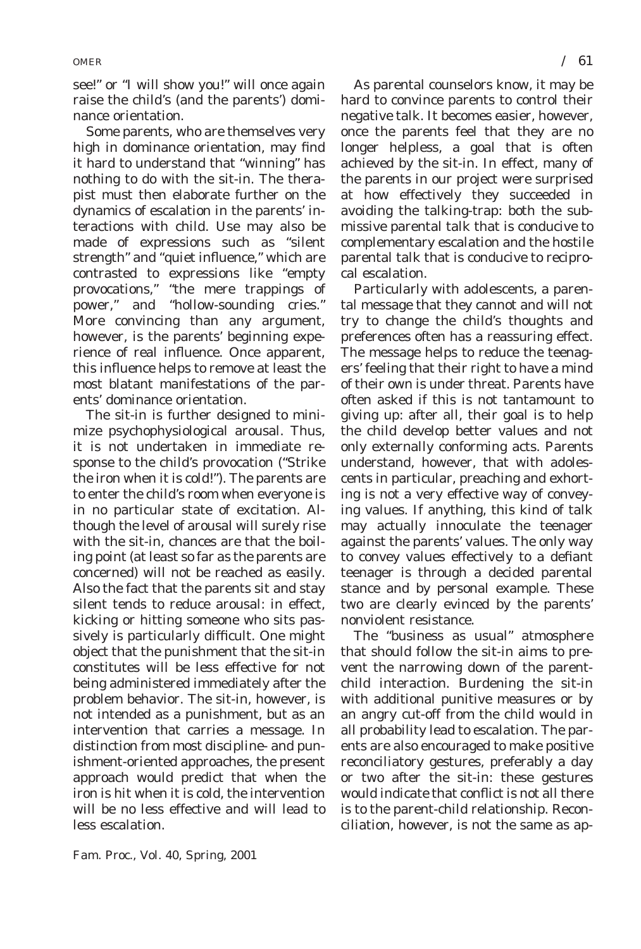see!" or "I will show you!" will once again raise the child's (and the parents') dominance orientation.

Some parents, who are themselves very high in dominance orientation, may find it hard to understand that "winning" has nothing to do with the sit-in. The therapist must then elaborate further on the dynamics of escalation in the parents' interactions with child. Use may also be made of expressions such as "silent strength" and "quiet influence," which are contrasted to expressions like "empty provocations," "the mere trappings of power," and "hollow-sounding cries." More convincing than any argument, however, is the parents' beginning experience of real influence. Once apparent, this influence helps to remove at least the most blatant manifestations of the parents' dominance orientation.

The sit-in is further designed to minimize psychophysiological arousal. Thus, it is not undertaken in immediate response to the child's provocation ("Strike the iron when it is cold!"). The parents are to enter the child's room when everyone is in no particular state of excitation. Although the level of arousal will surely rise with the sit-in, chances are that the boiling point (at least so far as the parents are concerned) will not be reached as easily. Also the fact that the parents sit and stay silent tends to reduce arousal: in effect, kicking or hitting someone who sits passively is particularly difficult. One might object that the punishment that the sit-in constitutes will be less effective for not being administered immediately after the problem behavior. The sit-in, however, is not intended as a punishment, but as an intervention that carries a message. In distinction from most discipline- and punishment-oriented approaches, the present approach would predict that when the iron is hit when it is cold, the intervention will be no less effective and will lead to less escalation.

As parental counselors know, it may be hard to convince parents to control their negative talk. It becomes easier, however, once the parents feel that they are no longer helpless, a goal that is often achieved by the sit-in. In effect, many of the parents in our project were surprised at how effectively they succeeded in avoiding the talking-trap: both the submissive parental talk that is conducive to complementary escalation and the hostile parental talk that is conducive to reciprocal escalation.

Particularly with adolescents, a parental message that they cannot and will not try to change the child's thoughts and preferences often has a reassuring effect. The message helps to reduce the teenagers' feeling that their right to have a mind of their own is under threat. Parents have often asked if this is not tantamount to giving up: after all, their goal is to help the child develop better values and not only externally conforming acts. Parents understand, however, that with adolescents in particular, preaching and exhorting is not a very effective way of conveying values. If anything, this kind of talk may actually innoculate the teenager against the parents' values. The only way to convey values effectively to a defiant teenager is through a decided parental stance and by personal example. These two are clearly evinced by the parents' nonviolent resistance.

The "business as usual" atmosphere that should follow the sit-in aims to prevent the narrowing down of the parentchild interaction. Burdening the sit-in with additional punitive measures or by an angry cut-off from the child would in all probability lead to escalation. The parents are also encouraged to make positive reconciliatory gestures, preferably a day or two after the sit-in: these gestures would indicate that conflict is not all there is to the parent-child relationship. Reconciliation, however, is not the same as ap-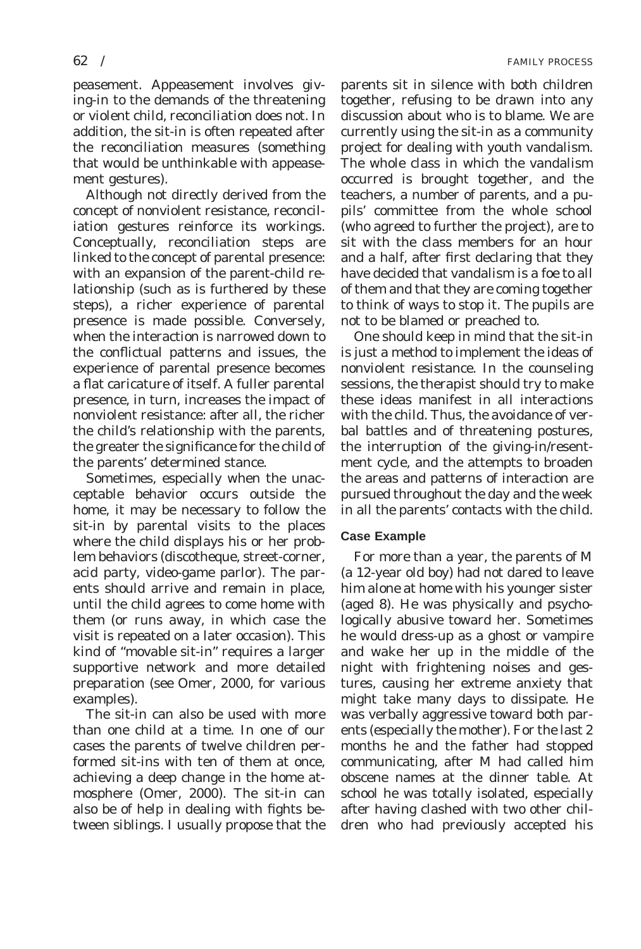peasement. Appeasement involves giving-in to the demands of the threatening or violent child, reconciliation does not. In addition, the sit-in is often repeated after the reconciliation measures (something that would be unthinkable with appeasement gestures).

Although not directly derived from the concept of nonviolent resistance, reconciliation gestures reinforce its workings. Conceptually, reconciliation steps are linked to the concept of parental presence: with an expansion of the parent-child relationship (such as is furthered by these steps), a richer experience of parental presence is made possible. Conversely, when the interaction is narrowed down to the conflictual patterns and issues, the experience of parental presence becomes a flat caricature of itself. A fuller parental presence, in turn, increases the impact of nonviolent resistance: after all, the richer the child's relationship with the parents, the greater the significance for the child of the parents' determined stance.

Sometimes, especially when the unacceptable behavior occurs outside the home, it may be necessary to follow the sit-in by parental visits to the places where the child displays his or her problem behaviors (discotheque, street-corner, acid party, video-game parlor). The parents should arrive and remain in place, until the child agrees to come home with them (or runs away, in which case the visit is repeated on a later occasion). This kind of "movable sit-in" requires a larger supportive network and more detailed preparation (see Omer, 2000, for various examples).

The sit-in can also be used with more than one child at a time. In one of our cases the parents of twelve children performed sit-ins with ten of them at once, achieving a deep change in the home atmosphere (Omer, 2000). The sit-in can also be of help in dealing with fights between siblings. I usually propose that the parents sit in silence with both children together, refusing to be drawn into any discussion about who is to blame. We are currently using the sit-in as a community project for dealing with youth vandalism. The whole class in which the vandalism occurred is brought together, and the teachers, a number of parents, and a pupils' committee from the whole school (who agreed to further the project), are to sit with the class members for an hour and a half, after first declaring that they have decided that vandalism is a foe to all of them and that they are coming together to think of ways to stop it. The pupils are not to be blamed or preached to.

One should keep in mind that the sit-in is just a method to implement the ideas of nonviolent resistance. In the counseling sessions, the therapist should try to make these ideas manifest in all interactions with the child. Thus, the avoidance of verbal battles and of threatening postures, the interruption of the giving-in/resentment cycle, and the attempts to broaden the areas and patterns of interaction are pursued throughout the day and the week in all the parents' contacts with the child.

#### **Case Example**

For more than a year, the parents of M (a 12-year old boy) had not dared to leave him alone at home with his younger sister (aged 8). He was physically and psychologically abusive toward her. Sometimes he would dress-up as a ghost or vampire and wake her up in the middle of the night with frightening noises and gestures, causing her extreme anxiety that might take many days to dissipate. He was verbally aggressive toward both parents (especially the mother). For the last 2 months he and the father had stopped communicating, after M had called him obscene names at the dinner table. At school he was totally isolated, especially after having clashed with two other children who had previously accepted his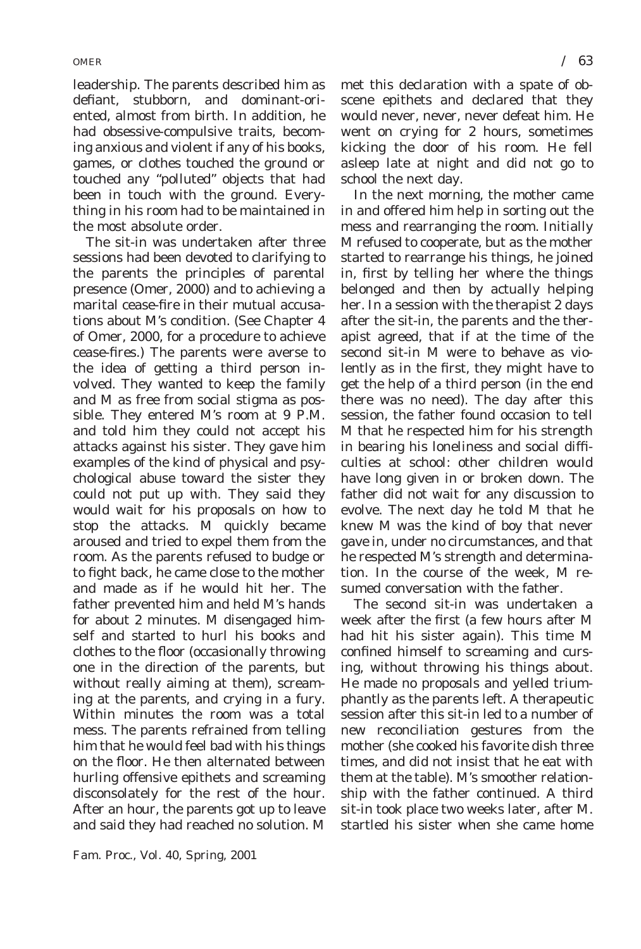leadership. The parents described him as defiant, stubborn, and dominant-oriented, almost from birth. In addition, he had obsessive-compulsive traits, becoming anxious and violent if any of his books, games, or clothes touched the ground or touched any "polluted" objects that had been in touch with the ground. Everything in his room had to be maintained in the most absolute order.

The sit-in was undertaken after three sessions had been devoted to clarifying to the parents the principles of parental presence (Omer, 2000) and to achieving a marital cease-fire in their mutual accusations about M's condition. (See Chapter 4 of Omer, 2000, for a procedure to achieve cease-fires.) The parents were averse to the idea of getting a third person involved. They wanted to keep the family and M as free from social stigma as possible. They entered M's room at 9 P.M. and told him they could not accept his attacks against his sister. They gave him examples of the kind of physical and psychological abuse toward the sister they could not put up with. They said they would wait for his proposals on how to stop the attacks. M quickly became aroused and tried to expel them from the room. As the parents refused to budge or to fight back, he came close to the mother and made as if he would hit her. The father prevented him and held M's hands for about 2 minutes. M disengaged himself and started to hurl his books and clothes to the floor (occasionally throwing one in the direction of the parents, but without really aiming at them), screaming at the parents, and crying in a fury. Within minutes the room was a total mess. The parents refrained from telling him that he would feel bad with his things on the floor. He then alternated between hurling offensive epithets and screaming disconsolately for the rest of the hour. After an hour, the parents got up to leave and said they had reached no solution. M met this declaration with a spate of obscene epithets and declared that they would never, never, never defeat him. He went on crying for 2 hours, sometimes kicking the door of his room. He fell asleep late at night and did not go to school the next day.

In the next morning, the mother came in and offered him help in sorting out the mess and rearranging the room. Initially M refused to cooperate, but as the mother started to rearrange his things, he joined in, first by telling her where the things belonged and then by actually helping her. In a session with the therapist 2 days after the sit-in, the parents and the therapist agreed, that if at the time of the second sit-in M were to behave as violently as in the first, they might have to get the help of a third person (in the end there was no need). The day after this session, the father found occasion to tell M that he respected him for his strength in bearing his loneliness and social difficulties at school: other children would have long given in or broken down. The father did not wait for any discussion to evolve. The next day he told M that he knew M was the kind of boy that never gave in, under no circumstances, and that he respected M's strength and determination. In the course of the week, M resumed conversation with the father.

The second sit-in was undertaken a week after the first (a few hours after M had hit his sister again). This time M confined himself to screaming and cursing, without throwing his things about. He made no proposals and yelled triumphantly as the parents left. A therapeutic session after this sit-in led to a number of new reconciliation gestures from the mother (she cooked his favorite dish three times, and did not insist that he eat with them at the table). M's smoother relationship with the father continued. A third sit-in took place two weeks later, after M. startled his sister when she came home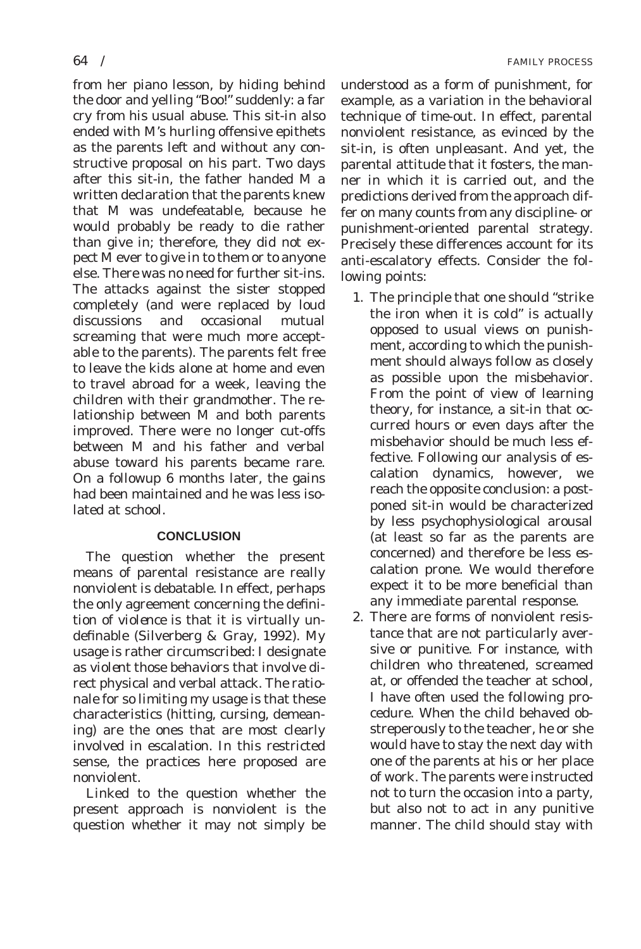from her piano lesson, by hiding behind the door and yelling "Boo!" suddenly: a far cry from his usual abuse. This sit-in also ended with M's hurling offensive epithets as the parents left and without any constructive proposal on his part. Two days after this sit-in, the father handed M a written declaration that the parents knew that M was undefeatable, because he would probably be ready to die rather than give in; therefore, they did not expect M ever to give in to them or to anyone else. There was no need for further sit-ins. The attacks against the sister stopped completely (and were replaced by loud discussions and occasional mutual screaming that were much more acceptable to the parents). The parents felt free to leave the kids alone at home and even to travel abroad for a week, leaving the children with their grandmother. The relationship between M and both parents improved. There were no longer cut-offs between M and his father and verbal abuse toward his parents became rare. On a followup 6 months later, the gains had been maintained and he was less isolated at school.

## **CONCLUSION**

The question whether the present means of parental resistance are really nonviolent is debatable. In effect, perhaps the only agreement concerning the definition of *violence* is that it is virtually undefinable (Silverberg & Gray, 1992). My usage is rather circumscribed: I designate as *violent* those behaviors that involve direct physical and verbal attack. The rationale for so limiting my usage is that these characteristics (hitting, cursing, demeaning) are the ones that are most clearly involved in escalation. In this restricted sense, the practices here proposed are nonviolent.

Linked to the question whether the present approach is nonviolent is the question whether it may not simply be understood as a form of punishment, for example, as a variation in the behavioral technique of time-out. In effect, parental nonviolent resistance, as evinced by the sit-in, is often unpleasant. And yet, the parental attitude that it fosters, the manner in which it is carried out, and the predictions derived from the approach differ on many counts from any discipline- or punishment-oriented parental strategy. Precisely these differences account for its anti-escalatory effects. Consider the following points:

- 1. The principle that one should "strike the iron when it is cold" is actually opposed to usual views on punishment, according to which the punishment should always follow as closely as possible upon the misbehavior. From the point of view of learning theory, for instance, a sit-in that occurred hours or even days after the misbehavior should be much less effective. Following our analysis of escalation dynamics, however, we reach the opposite conclusion: a postponed sit-in would be characterized by less psychophysiological arousal (at least so far as the parents are concerned) and therefore be less escalation prone. We would therefore expect it to be more beneficial than any immediate parental response.
- 2. There are forms of nonviolent resistance that are not particularly aversive or punitive. For instance, with children who threatened, screamed at, or offended the teacher at school, I have often used the following procedure. When the child behaved obstreperously to the teacher, he or she would have to stay the next day with one of the parents at his or her place of work. The parents were instructed not to turn the occasion into a party, but also not to act in any punitive manner. The child should stay with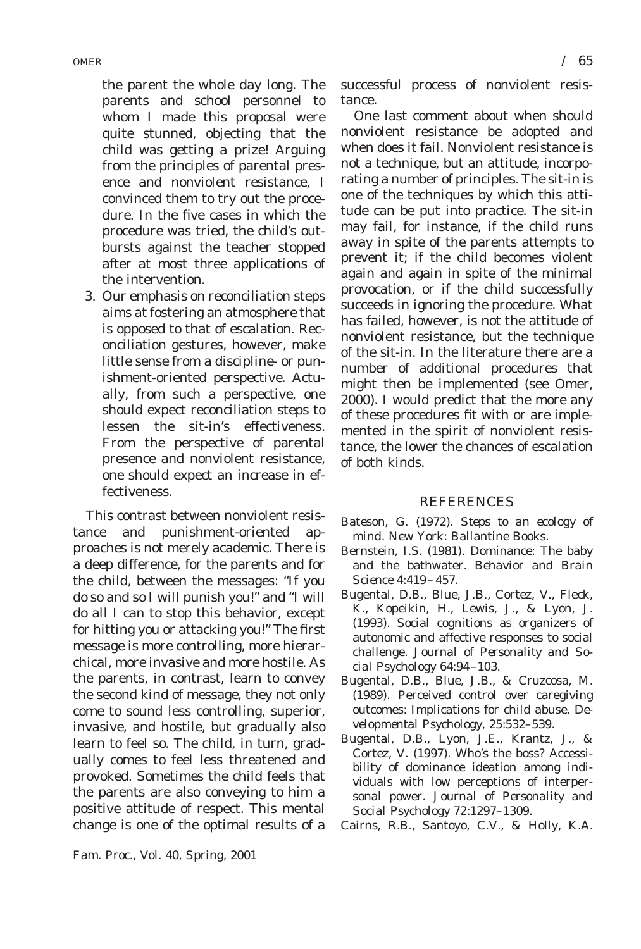the parent the whole day long. The parents and school personnel to whom I made this proposal were quite stunned, objecting that the child was getting a prize! Arguing from the principles of parental presence and nonviolent resistance, I convinced them to try out the procedure. In the five cases in which the procedure was tried, the child's outbursts against the teacher stopped after at most three applications of the intervention.

3. Our emphasis on reconciliation steps aims at fostering an atmosphere that is opposed to that of escalation. Reconciliation gestures, however, make little sense from a discipline- or punishment-oriented perspective. Actually, from such a perspective, one should expect reconciliation steps to lessen the sit-in's effectiveness. From the perspective of parental presence and nonviolent resistance, one should expect an increase in effectiveness.

This contrast between nonviolent resistance and punishment-oriented approaches is not merely academic. There is a deep difference, for the parents and for the child, between the messages: "If you do so and so I will punish you!" and "I will do all I can to stop this behavior, except for hitting you or attacking you!" The first message is more controlling, more hierarchical, more invasive and more hostile. As the parents, in contrast, learn to convey the second kind of message, they not only come to sound less controlling, superior, invasive, and hostile, but gradually also learn to feel so. The child, in turn, gradually comes to feel less threatened and provoked. Sometimes the child feels that the parents are also conveying to him a positive attitude of respect. This mental change is one of the optimal results of a successful process of nonviolent resistance.

One last comment about when should nonviolent resistance be adopted and when does it fail. Nonviolent resistance is not a technique, but an attitude, incorporating a number of principles. The sit-in is one of the techniques by which this attitude can be put into practice. The sit-in may fail, for instance, if the child runs away in spite of the parents attempts to prevent it; if the child becomes violent again and again in spite of the minimal provocation, or if the child successfully succeeds in ignoring the procedure. What has failed, however, is not the attitude of nonviolent resistance, but the technique of the sit-in. In the literature there are a number of additional procedures that might then be implemented (see Omer, 2000). I would predict that the more any of these procedures fit with or are implemented in the spirit of nonviolent resistance, the lower the chances of escalation of both kinds.

#### REFERENCES

- Bateson, G. (1972). *Steps to an ecology of mind.* New York: Ballantine Books.
- Bernstein, I.S. (1981). Dominance: The baby and the bathwater. *Behavior and Brain Science 4:*419–457.
- Bugental, D.B., Blue, J.B., Cortez, V., Fleck, K., Kopeikin, H., Lewis, J., & Lyon, J. (1993). Social cognitions as organizers of autonomic and affective responses to social challenge. *Journal of Personality and Social Psychology 64:*94–103.
- Bugental, D.B., Blue, J.B., & Cruzcosa, M. (1989). Perceived control over caregiving outcomes: Implications for child abuse. *Developmental Psychology, 25:*532–539.
- Bugental, D.B., Lyon, J.E., Krantz, J., & Cortez, V. (1997). Who's the boss? Accessibility of dominance ideation among individuals with low perceptions of interpersonal power. *Journal of Personality and Social Psychology 72:*1297–1309.
- Cairns, R.B., Santoyo, C.V., & Holly, K.A.